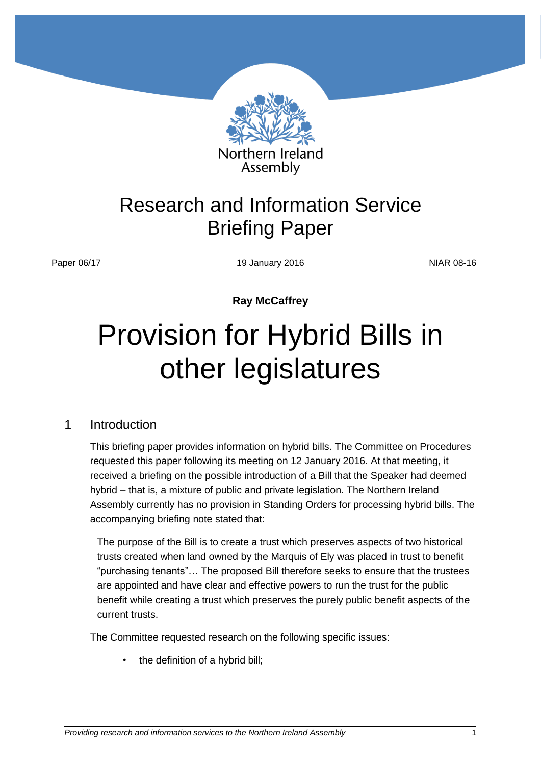

# Research and Information Service Briefing Paper

Paper 06/17 19 January 2016 19 January 2016

**Ray McCaffrey**

# Provision for Hybrid Bills in other legislatures

## 1 Introduction

This briefing paper provides information on hybrid bills. The Committee on Procedures requested this paper following its meeting on 12 January 2016. At that meeting, it received a briefing on the possible introduction of a Bill that the Speaker had deemed hybrid – that is, a mixture of public and private legislation. The Northern Ireland Assembly currently has no provision in Standing Orders for processing hybrid bills. The accompanying briefing note stated that:

The purpose of the Bill is to create a trust which preserves aspects of two historical trusts created when land owned by the Marquis of Ely was placed in trust to benefit "purchasing tenants"… The proposed Bill therefore seeks to ensure that the trustees are appointed and have clear and effective powers to run the trust for the public benefit while creating a trust which preserves the purely public benefit aspects of the current trusts.

The Committee requested research on the following specific issues:

the definition of a hybrid bill;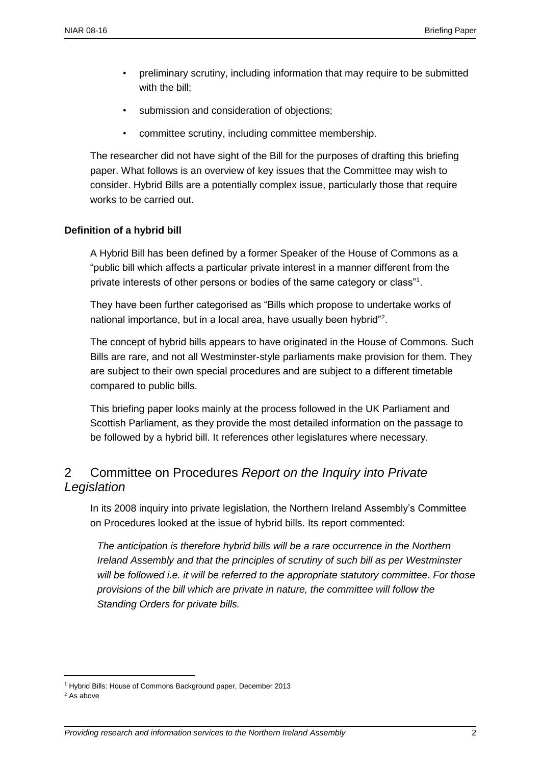- preliminary scrutiny, including information that may require to be submitted with the bill;
- submission and consideration of objections;
- committee scrutiny, including committee membership.

The researcher did not have sight of the Bill for the purposes of drafting this briefing paper. What follows is an overview of key issues that the Committee may wish to consider. Hybrid Bills are a potentially complex issue, particularly those that require works to be carried out.

#### **Definition of a hybrid bill**

A Hybrid Bill has been defined by a former Speaker of the House of Commons as a "public bill which affects a particular private interest in a manner different from the private interests of other persons or bodies of the same category or class"<sup>1</sup>.

They have been further categorised as "Bills which propose to undertake works of national importance, but in a local area, have usually been hybrid"<sup>2</sup>.

The concept of hybrid bills appears to have originated in the House of Commons. Such Bills are rare, and not all Westminster-style parliaments make provision for them. They are subject to their own special procedures and are subject to a different timetable compared to public bills.

This briefing paper looks mainly at the process followed in the UK Parliament and Scottish Parliament, as they provide the most detailed information on the passage to be followed by a hybrid bill. It references other legislatures where necessary.

# 2 Committee on Procedures *Report on the Inquiry into Private Legislation*

In its 2008 inquiry into private legislation, the Northern Ireland Assembly's Committee on Procedures looked at the issue of hybrid bills. Its report commented:

*The anticipation is therefore hybrid bills will be a rare occurrence in the Northern Ireland Assembly and that the principles of scrutiny of such bill as per Westminster will be followed i.e. it will be referred to the appropriate statutory committee. For those provisions of the bill which are private in nature, the committee will follow the Standing Orders for private bills.*

<sup>1</sup> Hybrid Bills: House of Commons Background paper, December 2013

<sup>&</sup>lt;sup>2</sup> As above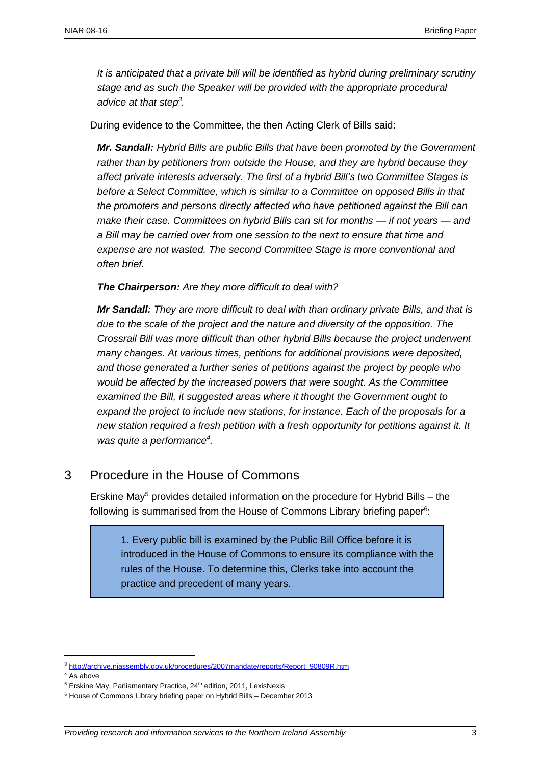*It is anticipated that a private bill will be identified as hybrid during preliminary scrutiny stage and as such the Speaker will be provided with the appropriate procedural advice at that step<sup>3</sup> .*

During evidence to the Committee, the then Acting Clerk of Bills said:

*Mr. Sandall: Hybrid Bills are public Bills that have been promoted by the Government rather than by petitioners from outside the House, and they are hybrid because they affect private interests adversely. The first of a hybrid Bill's two Committee Stages is before a Select Committee, which is similar to a Committee on opposed Bills in that the promoters and persons directly affected who have petitioned against the Bill can make their case. Committees on hybrid Bills can sit for months — if not years — and a Bill may be carried over from one session to the next to ensure that time and expense are not wasted. The second Committee Stage is more conventional and often brief.*

*The Chairperson: Are they more difficult to deal with?*

*Mr Sandall: They are more difficult to deal with than ordinary private Bills, and that is due to the scale of the project and the nature and diversity of the opposition. The Crossrail Bill was more difficult than other hybrid Bills because the project underwent many changes. At various times, petitions for additional provisions were deposited, and those generated a further series of petitions against the project by people who would be affected by the increased powers that were sought. As the Committee examined the Bill, it suggested areas where it thought the Government ought to expand the project to include new stations, for instance. Each of the proposals for a new station required a fresh petition with a fresh opportunity for petitions against it. It was quite a performance<sup>4</sup> .*

### 3 Procedure in the House of Commons

Erskine May<sup>5</sup> provides detailed information on the procedure for Hybrid Bills – the following is summarised from the House of Commons Library briefing paper<sup>6</sup>:

1. Every public bill is examined by the Public Bill Office before it is introduced in the House of Commons to ensure its compliance with the rules of the House. To determine this, Clerks take into account the practice and precedent of many years.

<sup>3</sup> [http://archive.niassembly.gov.uk/procedures/2007mandate/reports/Report\\_90809R.htm](http://archive.niassembly.gov.uk/procedures/2007mandate/reports/Report_90809R.htm)

<sup>4</sup> As above

 $5$  Erskine May, Parliamentary Practice, 24<sup>th</sup> edition, 2011, LexisNexis

<sup>6</sup> House of Commons Library briefing paper on Hybrid Bills – December 2013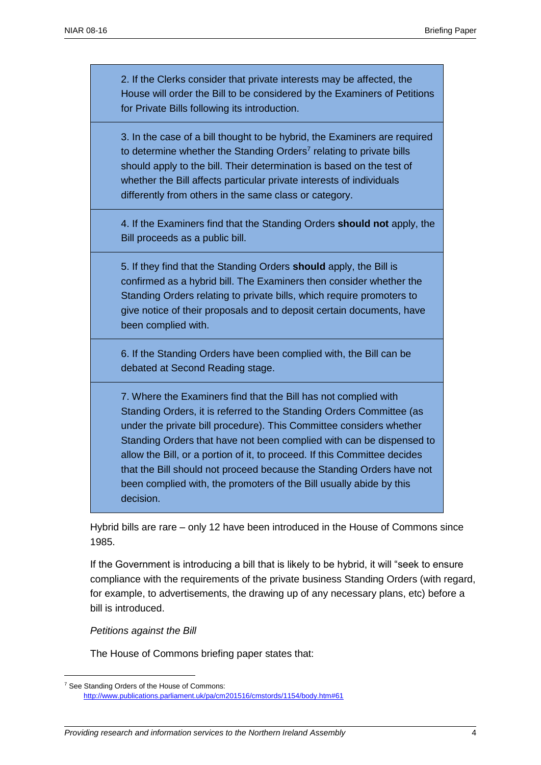2. If the Clerks consider that private interests may be affected, the House will order the Bill to be considered by the Examiners of Petitions for Private Bills following its introduction.

3. In the case of a bill thought to be hybrid, the Examiners are required to determine whether the Standing Orders<sup>7</sup> relating to private bills should apply to the bill. Their determination is based on the test of whether the Bill affects particular private interests of individuals differently from others in the same class or category.

4. If the Examiners find that the Standing Orders **should not** apply, the Bill proceeds as a public bill.

5. If they find that the Standing Orders **should** apply, the Bill is confirmed as a hybrid bill. The Examiners then consider whether the Standing Orders relating to private bills, which require promoters to give notice of their proposals and to deposit certain documents, have been complied with.

6. If the Standing Orders have been complied with, the Bill can be debated at Second Reading stage.

7. Where the Examiners find that the Bill has not complied with Standing Orders, it is referred to the Standing Orders Committee (as under the private bill procedure). This Committee considers whether Standing Orders that have not been complied with can be dispensed to allow the Bill, or a portion of it, to proceed. If this Committee decides that the Bill should not proceed because the Standing Orders have not been complied with, the promoters of the Bill usually abide by this decision.

Hybrid bills are rare – only 12 have been introduced in the House of Commons since 1985.

If the Government is introducing a bill that is likely to be hybrid, it will "seek to ensure compliance with the requirements of the private business Standing Orders (with regard, for example, to advertisements, the drawing up of any necessary plans, etc) before a bill is introduced.

*Petitions against the Bill*

 $\overline{a}$ 

The House of Commons briefing paper states that:

<sup>&</sup>lt;sup>7</sup> See Standing Orders of the House of Commons: <http://www.publications.parliament.uk/pa/cm201516/cmstords/1154/body.htm#61>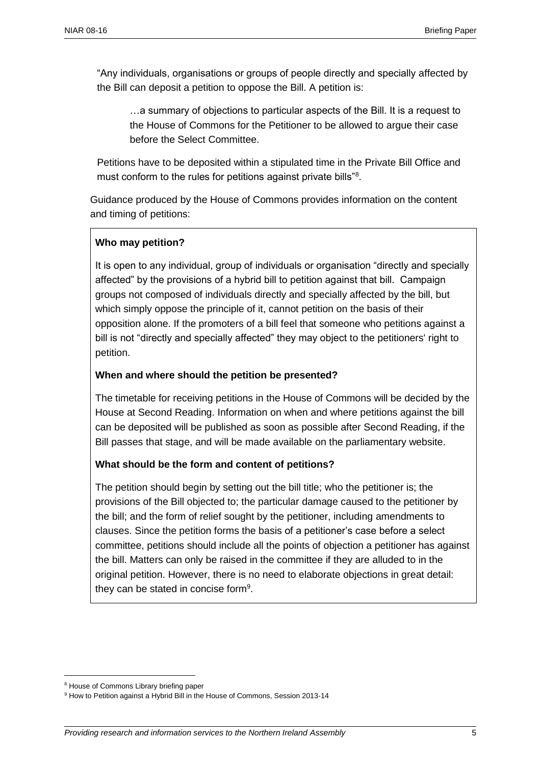"Any individuals, organisations or groups of people directly and specially affected by the Bill can deposit a petition to oppose the Bill. A petition is:

…a summary of objections to particular aspects of the Bill. It is a request to the House of Commons for the Petitioner to be allowed to argue their case before the Select Committee.

Petitions have to be deposited within a stipulated time in the Private Bill Office and must conform to the rules for petitions against private bills"<sup>8</sup>.

Guidance produced by the House of Commons provides information on the content and timing of petitions:

#### **Who may petition?**

It is open to any individual, group of individuals or organisation "directly and specially affected" by the provisions of a hybrid bill to petition against that bill. Campaign groups not composed of individuals directly and specially affected by the bill, but which simply oppose the principle of it, cannot petition on the basis of their opposition alone. If the promoters of a bill feel that someone who petitions against a bill is not "directly and specially affected" they may object to the petitioners' right to petition.

#### **When and where should the petition be presented?**

The timetable for receiving petitions in the House of Commons will be decided by the House at Second Reading. Information on when and where petitions against the bill can be deposited will be published as soon as possible after Second Reading, if the Bill passes that stage, and will be made available on the parliamentary website.

#### **What should be the form and content of petitions?**

The petition should begin by setting out the bill title; who the petitioner is; the provisions of the Bill objected to; the particular damage caused to the petitioner by the bill; and the form of relief sought by the petitioner, including amendments to clauses. Since the petition forms the basis of a petitioner's case before a select committee, petitions should include all the points of objection a petitioner has against the bill. Matters can only be raised in the committee if they are alluded to in the original petition. However, there is no need to elaborate objections in great detail: they can be stated in concise form<sup>9</sup>.

<sup>8</sup> House of Commons Library briefing paper

<sup>&</sup>lt;sup>9</sup> How to Petition against a Hybrid Bill in the House of Commons, Session 2013-14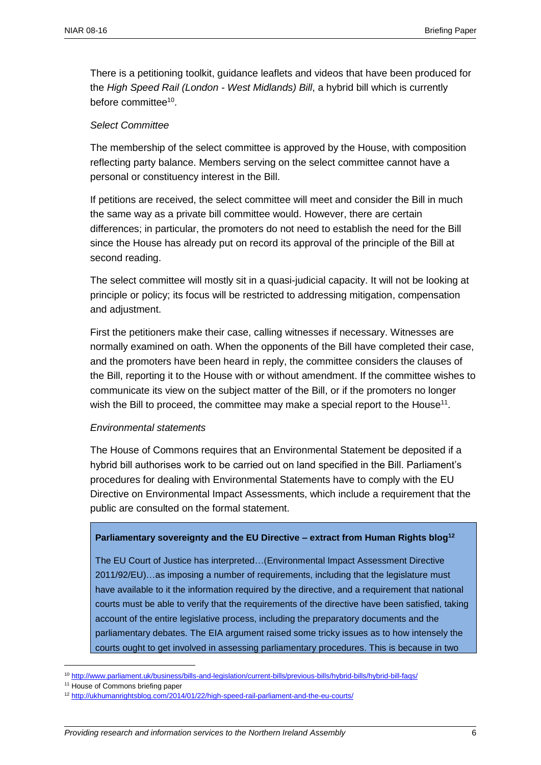There is a petitioning toolkit, guidance leaflets and videos that have been produced for the *High Speed Rail (London - West Midlands) Bill*, a hybrid bill which is currently before committee<sup>10</sup>.

#### *Select Committee*

The membership of the select committee is approved by the House, with composition reflecting party balance. Members serving on the select committee cannot have a personal or constituency interest in the Bill.

If petitions are received, the select committee will meet and consider the Bill in much the same way as a private bill committee would. However, there are certain differences; in particular, the promoters do not need to establish the need for the Bill since the House has already put on record its approval of the principle of the Bill at second reading.

The select committee will mostly sit in a quasi-judicial capacity. It will not be looking at principle or policy; its focus will be restricted to addressing mitigation, compensation and adjustment.

First the petitioners make their case, calling witnesses if necessary. Witnesses are normally examined on oath. When the opponents of the Bill have completed their case, and the promoters have been heard in reply, the committee considers the clauses of the Bill, reporting it to the House with or without amendment. If the committee wishes to communicate its view on the subject matter of the Bill, or if the promoters no longer wish the Bill to proceed, the committee may make a special report to the House<sup>11</sup>.

#### *Environmental statements*

The House of Commons requires that an Environmental Statement be deposited if a hybrid bill authorises work to be carried out on land specified in the Bill. Parliament's procedures for dealing with Environmental Statements have to comply with the EU Directive on Environmental Impact Assessments, which include a requirement that the public are consulted on the formal statement.

#### **Parliamentary sovereignty and the EU Directive – extract from Human Rights blog 12**

The EU Court of Justice has interpreted…(Environmental Impact Assessment Directive 2011/92/EU)…as imposing a number of requirements, including that the legislature must have available to it the information required by the directive, and a requirement that national courts must be able to verify that the requirements of the directive have been satisfied, taking account of the entire legislative process, including the preparatory documents and the parliamentary debates. The EIA argument raised some tricky issues as to how intensely the courts ought to get involved in assessing parliamentary procedures. This is because in two

<sup>10</sup> <http://www.parliament.uk/business/bills-and-legislation/current-bills/previous-bills/hybrid-bills/hybrid-bill-faqs/>

<sup>&</sup>lt;sup>11</sup> House of Commons briefing paper

<sup>12</sup> <http://ukhumanrightsblog.com/2014/01/22/high-speed-rail-parliament-and-the-eu-courts/>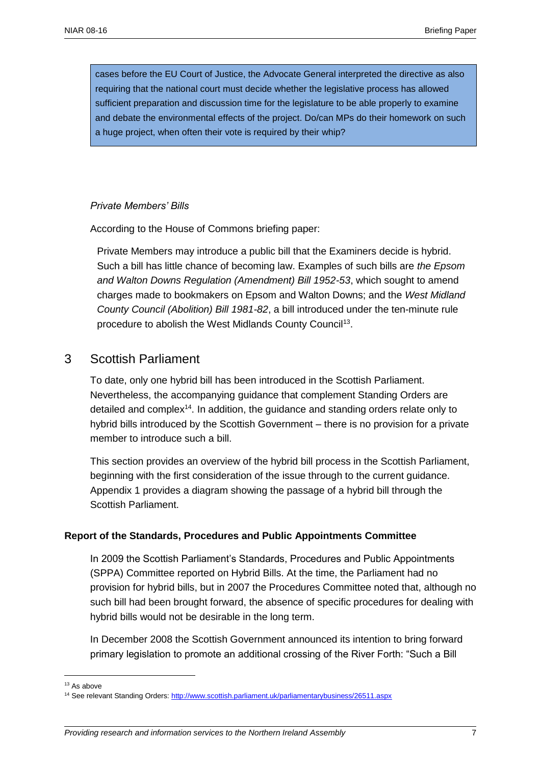cases before the EU Court of Justice, the Advocate General interpreted the directive as also requiring that the national court must decide whether the legislative process has allowed sufficient preparation and discussion time for the legislature to be able properly to examine and debate the environmental effects of the project. Do/can MPs do their homework on such a huge project, when often their vote is required by their whip?

#### *Private Members' Bills*

According to the House of Commons briefing paper:

Private Members may introduce a public bill that the Examiners decide is hybrid. Such a bill has little chance of becoming law. Examples of such bills are *the Epsom and Walton Downs Regulation (Amendment) Bill 1952-53*, which sought to amend charges made to bookmakers on Epsom and Walton Downs; and the *West Midland County Council (Abolition) Bill 1981-82*, a bill introduced under the ten-minute rule procedure to abolish the West Midlands County Council<sup>13</sup>.

#### 3 Scottish Parliament

To date, only one hybrid bill has been introduced in the Scottish Parliament. Nevertheless, the accompanying guidance that complement Standing Orders are detailed and complex<sup>14</sup>. In addition, the guidance and standing orders relate only to hybrid bills introduced by the Scottish Government – there is no provision for a private member to introduce such a bill.

This section provides an overview of the hybrid bill process in the Scottish Parliament, beginning with the first consideration of the issue through to the current guidance. Appendix 1 provides a diagram showing the passage of a hybrid bill through the Scottish Parliament.

#### **Report of the Standards, Procedures and Public Appointments Committee**

In 2009 the Scottish Parliament's Standards, Procedures and Public Appointments (SPPA) Committee reported on Hybrid Bills. At the time, the Parliament had no provision for hybrid bills, but in 2007 the Procedures Committee noted that, although no such bill had been brought forward, the absence of specific procedures for dealing with hybrid bills would not be desirable in the long term.

In December 2008 the Scottish Government announced its intention to bring forward primary legislation to promote an additional crossing of the River Forth: "Such a Bill

<sup>13</sup> As above

<sup>&</sup>lt;sup>14</sup> See relevant Standing Orders[: http://www.scottish.parliament.uk/parliamentarybusiness/26511.aspx](http://www.scottish.parliament.uk/parliamentarybusiness/26511.aspx)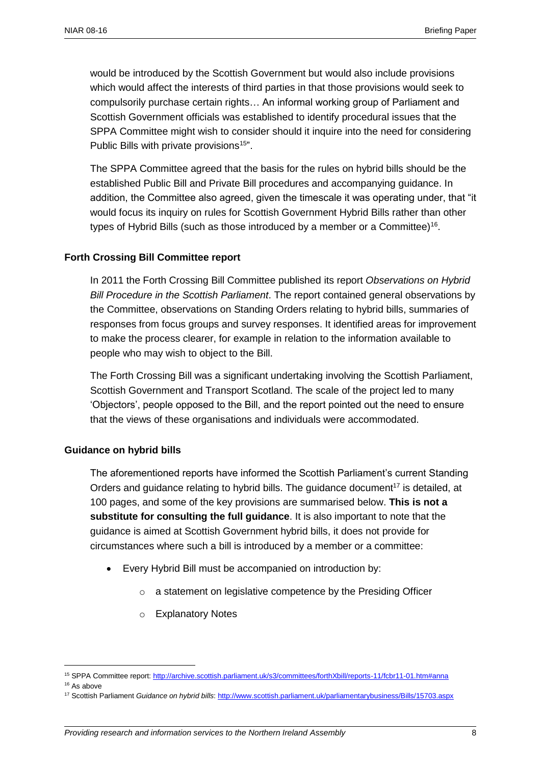would be introduced by the Scottish Government but would also include provisions which would affect the interests of third parties in that those provisions would seek to compulsorily purchase certain rights… An informal working group of Parliament and Scottish Government officials was established to identify procedural issues that the SPPA Committee might wish to consider should it inquire into the need for considering Public Bills with private provisions<sup>15</sup>".

The SPPA Committee agreed that the basis for the rules on hybrid bills should be the established Public Bill and Private Bill procedures and accompanying guidance. In addition, the Committee also agreed, given the timescale it was operating under, that "it would focus its inquiry on rules for Scottish Government Hybrid Bills rather than other types of Hybrid Bills (such as those introduced by a member or a Committee)<sup>16</sup>.

#### **Forth Crossing Bill Committee report**

In 2011 the Forth Crossing Bill Committee published its report *Observations on Hybrid Bill Procedure in the Scottish Parliament*. The report contained general observations by the Committee, observations on Standing Orders relating to hybrid bills, summaries of responses from focus groups and survey responses. It identified areas for improvement to make the process clearer, for example in relation to the information available to people who may wish to object to the Bill.

The Forth Crossing Bill was a significant undertaking involving the Scottish Parliament, Scottish Government and Transport Scotland. The scale of the project led to many 'Objectors', people opposed to the Bill, and the report pointed out the need to ensure that the views of these organisations and individuals were accommodated.

#### **Guidance on hybrid bills**

The aforementioned reports have informed the Scottish Parliament's current Standing Orders and guidance relating to hybrid bills. The guidance document<sup>17</sup> is detailed, at 100 pages, and some of the key provisions are summarised below. **This is not a substitute for consulting the full guidance**. It is also important to note that the guidance is aimed at Scottish Government hybrid bills, it does not provide for circumstances where such a bill is introduced by a member or a committee:

- Every Hybrid Bill must be accompanied on introduction by:
	- o a statement on legislative competence by the Presiding Officer
	- o Explanatory Notes

<sup>15</sup> SPPA Committee report[: http://archive.scottish.parliament.uk/s3/committees/forthXbill/reports-11/fcbr11-01.htm#anna](http://archive.scottish.parliament.uk/s3/committees/forthXbill/reports-11/fcbr11-01.htm#anna)

<sup>&</sup>lt;sup>16</sup> As above

<sup>17</sup> Scottish Parliament *Guidance on hybrid bills*[: http://www.scottish.parliament.uk/parliamentarybusiness/Bills/15703.aspx](http://www.scottish.parliament.uk/parliamentarybusiness/Bills/15703.aspx)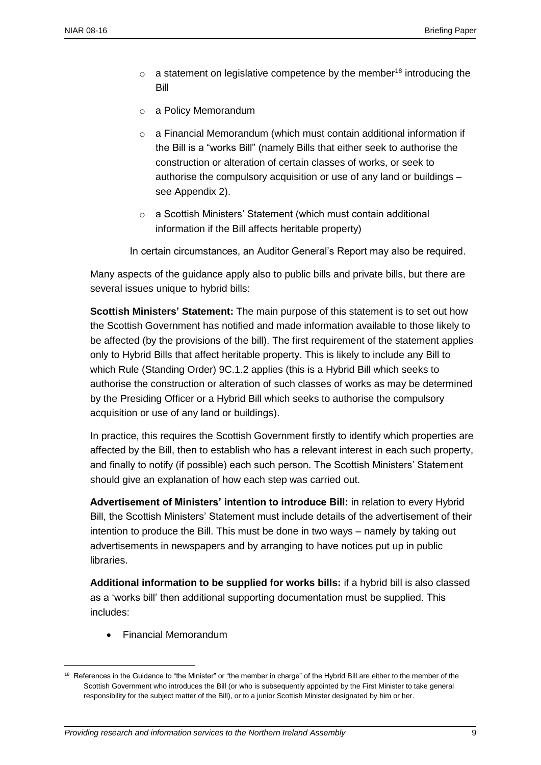- $\circ$  a statement on legislative competence by the member<sup>18</sup> introducing the Bill
- o a Policy Memorandum
- o a Financial Memorandum (which must contain additional information if the Bill is a "works Bill" (namely Bills that either seek to authorise the construction or alteration of certain classes of works, or seek to authorise the compulsory acquisition or use of any land or buildings – see Appendix 2).
- o a Scottish Ministers' Statement (which must contain additional information if the Bill affects heritable property)

In certain circumstances, an Auditor General's Report may also be required.

Many aspects of the guidance apply also to public bills and private bills, but there are several issues unique to hybrid bills:

**Scottish Ministers' Statement:** The main purpose of this statement is to set out how the Scottish Government has notified and made information available to those likely to be affected (by the provisions of the bill). The first requirement of the statement applies only to Hybrid Bills that affect heritable property. This is likely to include any Bill to which Rule (Standing Order) 9C.1.2 applies (this is a Hybrid Bill which seeks to authorise the construction or alteration of such classes of works as may be determined by the Presiding Officer or a Hybrid Bill which seeks to authorise the compulsory acquisition or use of any land or buildings).

In practice, this requires the Scottish Government firstly to identify which properties are affected by the Bill, then to establish who has a relevant interest in each such property, and finally to notify (if possible) each such person. The Scottish Ministers' Statement should give an explanation of how each step was carried out.

**Advertisement of Ministers' intention to introduce Bill:** in relation to every Hybrid Bill, the Scottish Ministers' Statement must include details of the advertisement of their intention to produce the Bill. This must be done in two ways – namely by taking out advertisements in newspapers and by arranging to have notices put up in public libraries.

**Additional information to be supplied for works bills:** if a hybrid bill is also classed as a 'works bill' then additional supporting documentation must be supplied. This includes:

Financial Memorandum

<sup>&</sup>lt;sup>18</sup> References in the Guidance to "the Minister" or "the member in charge" of the Hybrid Bill are either to the member of the Scottish Government who introduces the Bill (or who is subsequently appointed by the First Minister to take general responsibility for the subject matter of the Bill), or to a junior Scottish Minister designated by him or her.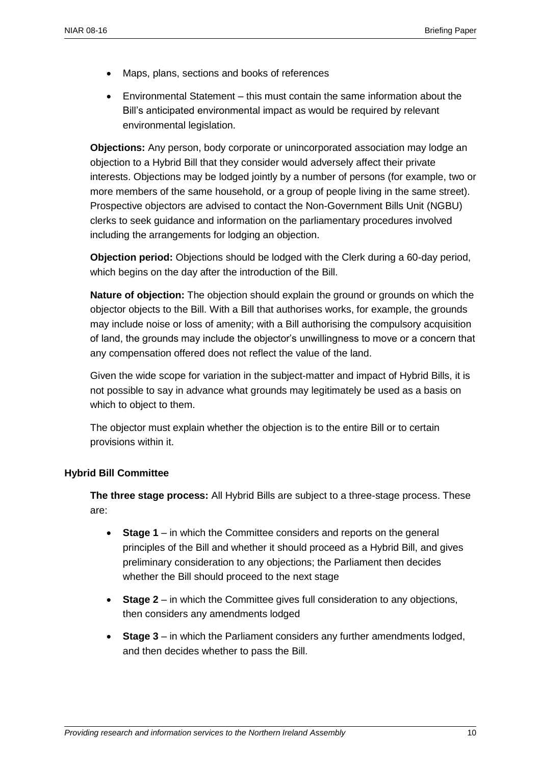- Maps, plans, sections and books of references
- Environmental Statement this must contain the same information about the Bill's anticipated environmental impact as would be required by relevant environmental legislation.

**Objections:** Any person, body corporate or unincorporated association may lodge an objection to a Hybrid Bill that they consider would adversely affect their private interests. Objections may be lodged jointly by a number of persons (for example, two or more members of the same household, or a group of people living in the same street). Prospective objectors are advised to contact the Non-Government Bills Unit (NGBU) clerks to seek guidance and information on the parliamentary procedures involved including the arrangements for lodging an objection.

**Objection period:** Objections should be lodged with the Clerk during a 60-day period, which begins on the day after the introduction of the Bill.

**Nature of objection:** The objection should explain the ground or grounds on which the objector objects to the Bill. With a Bill that authorises works, for example, the grounds may include noise or loss of amenity; with a Bill authorising the compulsory acquisition of land, the grounds may include the objector's unwillingness to move or a concern that any compensation offered does not reflect the value of the land.

Given the wide scope for variation in the subject-matter and impact of Hybrid Bills, it is not possible to say in advance what grounds may legitimately be used as a basis on which to object to them.

The objector must explain whether the objection is to the entire Bill or to certain provisions within it.

#### **Hybrid Bill Committee**

**The three stage process:** All Hybrid Bills are subject to a three-stage process. These are:

- **Stage 1** in which the Committee considers and reports on the general principles of the Bill and whether it should proceed as a Hybrid Bill, and gives preliminary consideration to any objections; the Parliament then decides whether the Bill should proceed to the next stage
- **Stage 2** in which the Committee gives full consideration to any objections, then considers any amendments lodged
- **Stage 3** in which the Parliament considers any further amendments lodged, and then decides whether to pass the Bill.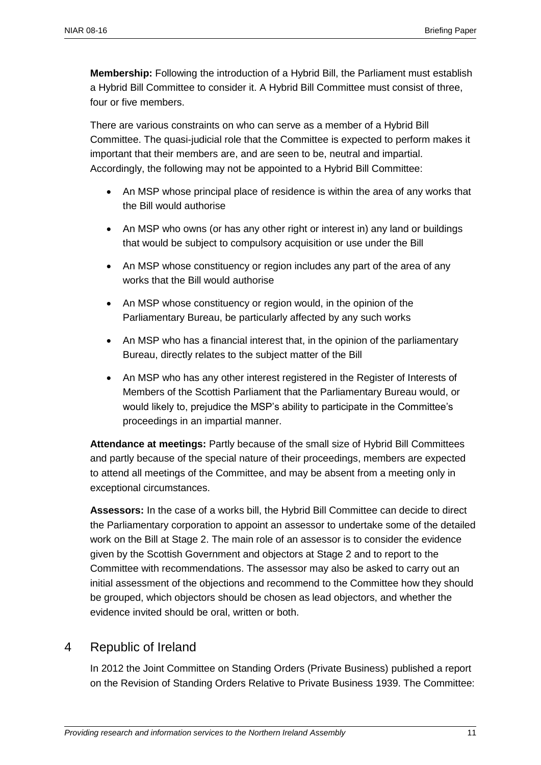**Membership:** Following the introduction of a Hybrid Bill, the Parliament must establish a Hybrid Bill Committee to consider it. A Hybrid Bill Committee must consist of three, four or five members.

There are various constraints on who can serve as a member of a Hybrid Bill Committee. The quasi-judicial role that the Committee is expected to perform makes it important that their members are, and are seen to be, neutral and impartial. Accordingly, the following may not be appointed to a Hybrid Bill Committee:

- An MSP whose principal place of residence is within the area of any works that the Bill would authorise
- An MSP who owns (or has any other right or interest in) any land or buildings that would be subject to compulsory acquisition or use under the Bill
- An MSP whose constituency or region includes any part of the area of any works that the Bill would authorise
- An MSP whose constituency or region would, in the opinion of the Parliamentary Bureau, be particularly affected by any such works
- An MSP who has a financial interest that, in the opinion of the parliamentary Bureau, directly relates to the subject matter of the Bill
- An MSP who has any other interest registered in the Register of Interests of Members of the Scottish Parliament that the Parliamentary Bureau would, or would likely to, prejudice the MSP's ability to participate in the Committee's proceedings in an impartial manner.

**Attendance at meetings:** Partly because of the small size of Hybrid Bill Committees and partly because of the special nature of their proceedings, members are expected to attend all meetings of the Committee, and may be absent from a meeting only in exceptional circumstances.

**Assessors:** In the case of a works bill, the Hybrid Bill Committee can decide to direct the Parliamentary corporation to appoint an assessor to undertake some of the detailed work on the Bill at Stage 2. The main role of an assessor is to consider the evidence given by the Scottish Government and objectors at Stage 2 and to report to the Committee with recommendations. The assessor may also be asked to carry out an initial assessment of the objections and recommend to the Committee how they should be grouped, which objectors should be chosen as lead objectors, and whether the evidence invited should be oral, written or both.

# 4 Republic of Ireland

In 2012 the Joint Committee on Standing Orders (Private Business) published a report on the Revision of Standing Orders Relative to Private Business 1939. The Committee: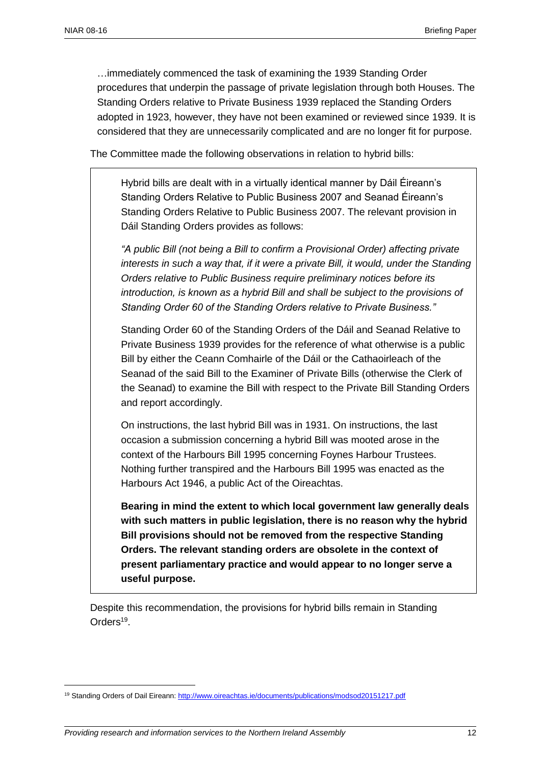…immediately commenced the task of examining the 1939 Standing Order procedures that underpin the passage of private legislation through both Houses. The Standing Orders relative to Private Business 1939 replaced the Standing Orders adopted in 1923, however, they have not been examined or reviewed since 1939. It is considered that they are unnecessarily complicated and are no longer fit for purpose.

The Committee made the following observations in relation to hybrid bills:

Hybrid bills are dealt with in a virtually identical manner by Dáil Éireann's Standing Orders Relative to Public Business 2007 and Seanad Éireann's Standing Orders Relative to Public Business 2007. The relevant provision in Dáil Standing Orders provides as follows:

*"A public Bill (not being a Bill to confirm a Provisional Order) affecting private interests in such a way that, if it were a private Bill, it would, under the Standing Orders relative to Public Business require preliminary notices before its introduction, is known as a hybrid Bill and shall be subject to the provisions of Standing Order 60 of the Standing Orders relative to Private Business."*

Standing Order 60 of the Standing Orders of the Dáil and Seanad Relative to Private Business 1939 provides for the reference of what otherwise is a public Bill by either the Ceann Comhairle of the Dáil or the Cathaoirleach of the Seanad of the said Bill to the Examiner of Private Bills (otherwise the Clerk of the Seanad) to examine the Bill with respect to the Private Bill Standing Orders and report accordingly.

On instructions, the last hybrid Bill was in 1931. On instructions, the last occasion a submission concerning a hybrid Bill was mooted arose in the context of the Harbours Bill 1995 concerning Foynes Harbour Trustees. Nothing further transpired and the Harbours Bill 1995 was enacted as the Harbours Act 1946, a public Act of the Oireachtas.

**Bearing in mind the extent to which local government law generally deals with such matters in public legislation, there is no reason why the hybrid Bill provisions should not be removed from the respective Standing Orders. The relevant standing orders are obsolete in the context of present parliamentary practice and would appear to no longer serve a useful purpose.**

Despite this recommendation, the provisions for hybrid bills remain in Standing Orders<sup>19</sup>.

<sup>19</sup> Standing Orders of Dail Eireann:<http://www.oireachtas.ie/documents/publications/modsod20151217.pdf>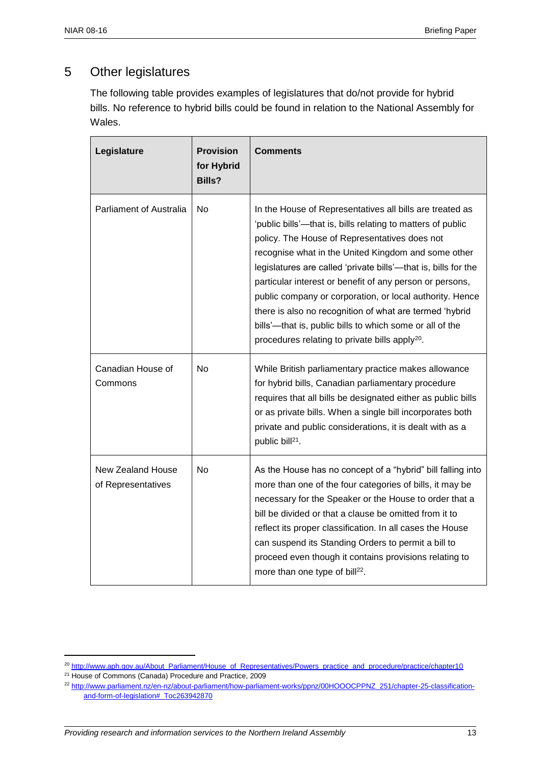# 5 Other legislatures

The following table provides examples of legislatures that do/not provide for hybrid bills. No reference to hybrid bills could be found in relation to the National Assembly for Wales.

| Legislature                                    | <b>Provision</b><br>for Hybrid<br><b>Bills?</b> | <b>Comments</b>                                                                                                                                                                                                                                                                                                                                                                                                                                                                                                                                                                                                |
|------------------------------------------------|-------------------------------------------------|----------------------------------------------------------------------------------------------------------------------------------------------------------------------------------------------------------------------------------------------------------------------------------------------------------------------------------------------------------------------------------------------------------------------------------------------------------------------------------------------------------------------------------------------------------------------------------------------------------------|
| <b>Parliament of Australia</b>                 | No                                              | In the House of Representatives all bills are treated as<br>'public bills'—that is, bills relating to matters of public<br>policy. The House of Representatives does not<br>recognise what in the United Kingdom and some other<br>legislatures are called 'private bills'-that is, bills for the<br>particular interest or benefit of any person or persons,<br>public company or corporation, or local authority. Hence<br>there is also no recognition of what are termed 'hybrid<br>bills'-that is, public bills to which some or all of the<br>procedures relating to private bills apply <sup>20</sup> . |
| Canadian House of<br>Commons                   | <b>No</b>                                       | While British parliamentary practice makes allowance<br>for hybrid bills, Canadian parliamentary procedure<br>requires that all bills be designated either as public bills<br>or as private bills. When a single bill incorporates both<br>private and public considerations, it is dealt with as a<br>public bill <sup>21</sup> .                                                                                                                                                                                                                                                                             |
| <b>New Zealand House</b><br>of Representatives | No.                                             | As the House has no concept of a "hybrid" bill falling into<br>more than one of the four categories of bills, it may be<br>necessary for the Speaker or the House to order that a<br>bill be divided or that a clause be omitted from it to<br>reflect its proper classification. In all cases the House<br>can suspend its Standing Orders to permit a bill to<br>proceed even though it contains provisions relating to<br>more than one type of bill <sup>22</sup> .                                                                                                                                        |

<sup>21</sup> House of Commons (Canada) Procedure and Practice, 2009

<sup>&</sup>lt;sup>20</sup> [http://www.aph.gov.au/About\\_Parliament/House\\_of\\_Representatives/Powers\\_practice\\_and\\_procedure/practice/chapter10](http://www.aph.gov.au/About_Parliament/House_of_Representatives/Powers_practice_and_procedure/practice/chapter10)

<sup>&</sup>lt;sup>22</sup> [http://www.parliament.nz/en-nz/about-parliament/how-parliament-works/ppnz/00HOOOCPPNZ\\_251/chapter-25-classification](http://www.parliament.nz/en-nz/about-parliament/how-parliament-works/ppnz/00HOOOCPPNZ_251/chapter-25-classification-and-form-of-legislation#_Toc263942870)[and-form-of-legislation#\\_Toc263942870](http://www.parliament.nz/en-nz/about-parliament/how-parliament-works/ppnz/00HOOOCPPNZ_251/chapter-25-classification-and-form-of-legislation#_Toc263942870)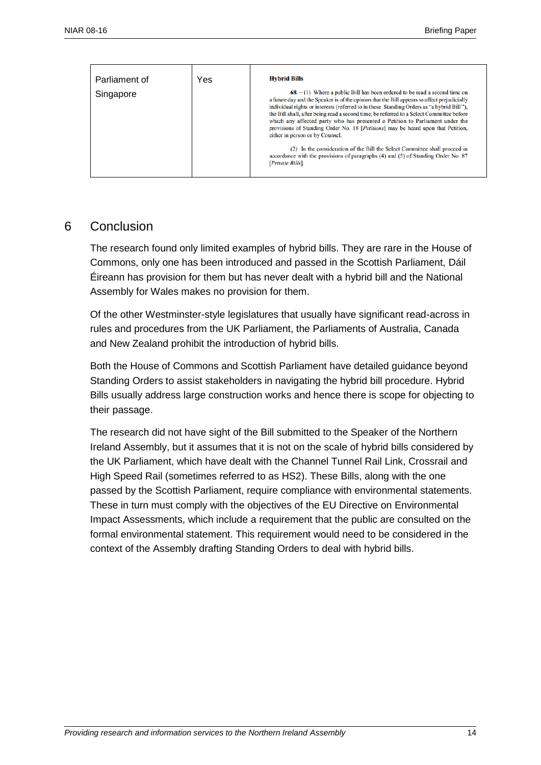| Parliament of | Yes | <b>Hybrid Bills</b>                                                                                                                                                                                                                                                                                                                                                                                                                                                                                                                                                                    |
|---------------|-----|----------------------------------------------------------------------------------------------------------------------------------------------------------------------------------------------------------------------------------------------------------------------------------------------------------------------------------------------------------------------------------------------------------------------------------------------------------------------------------------------------------------------------------------------------------------------------------------|
| Singapore     |     | $68. - (1)$ Where a public Bill has been ordered to be read a second time on<br>a future day and the Speaker is of the opinion that the Bill appears to affect prejudicially<br>individual rights or interests (referred to in these Standing Orders as "a hybrid Bill").<br>the Bill shall, after being read a second time, be referred to a Select Committee before<br>which any affected party who has presented a Petition to Parliament under the<br>provisions of Standing Order No. 18 [ <i>Petitions</i> ] may be heard upon that Petition,<br>either in person or by Counsel. |
|               |     | (2) In the consideration of the Bill the Select Committee shall proceed in<br>accordance with the provisions of paragraphs (4) and (5) of Standing Order No. 87<br>[Private Bills].                                                                                                                                                                                                                                                                                                                                                                                                    |

#### 6 Conclusion

The research found only limited examples of hybrid bills. They are rare in the House of Commons, only one has been introduced and passed in the Scottish Parliament, Dáil Éireann has provision for them but has never dealt with a hybrid bill and the National Assembly for Wales makes no provision for them.

Of the other Westminster-style legislatures that usually have significant read-across in rules and procedures from the UK Parliament, the Parliaments of Australia, Canada and New Zealand prohibit the introduction of hybrid bills.

Both the House of Commons and Scottish Parliament have detailed guidance beyond Standing Orders to assist stakeholders in navigating the hybrid bill procedure. Hybrid Bills usually address large construction works and hence there is scope for objecting to their passage.

The research did not have sight of the Bill submitted to the Speaker of the Northern Ireland Assembly, but it assumes that it is not on the scale of hybrid bills considered by the UK Parliament, which have dealt with the Channel Tunnel Rail Link, Crossrail and High Speed Rail (sometimes referred to as HS2). These Bills, along with the one passed by the Scottish Parliament, require compliance with environmental statements. These in turn must comply with the objectives of the EU Directive on Environmental Impact Assessments, which include a requirement that the public are consulted on the formal environmental statement. This requirement would need to be considered in the context of the Assembly drafting Standing Orders to deal with hybrid bills.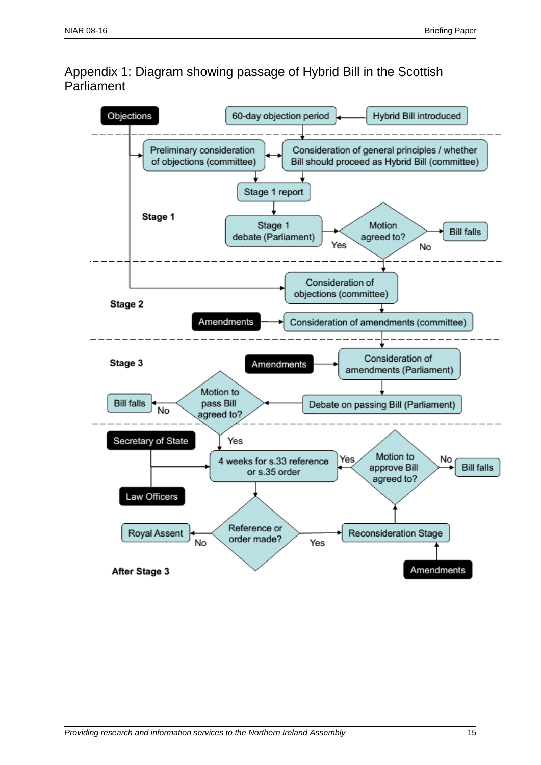Appendix 1: Diagram showing passage of Hybrid Bill in the Scottish Parliament